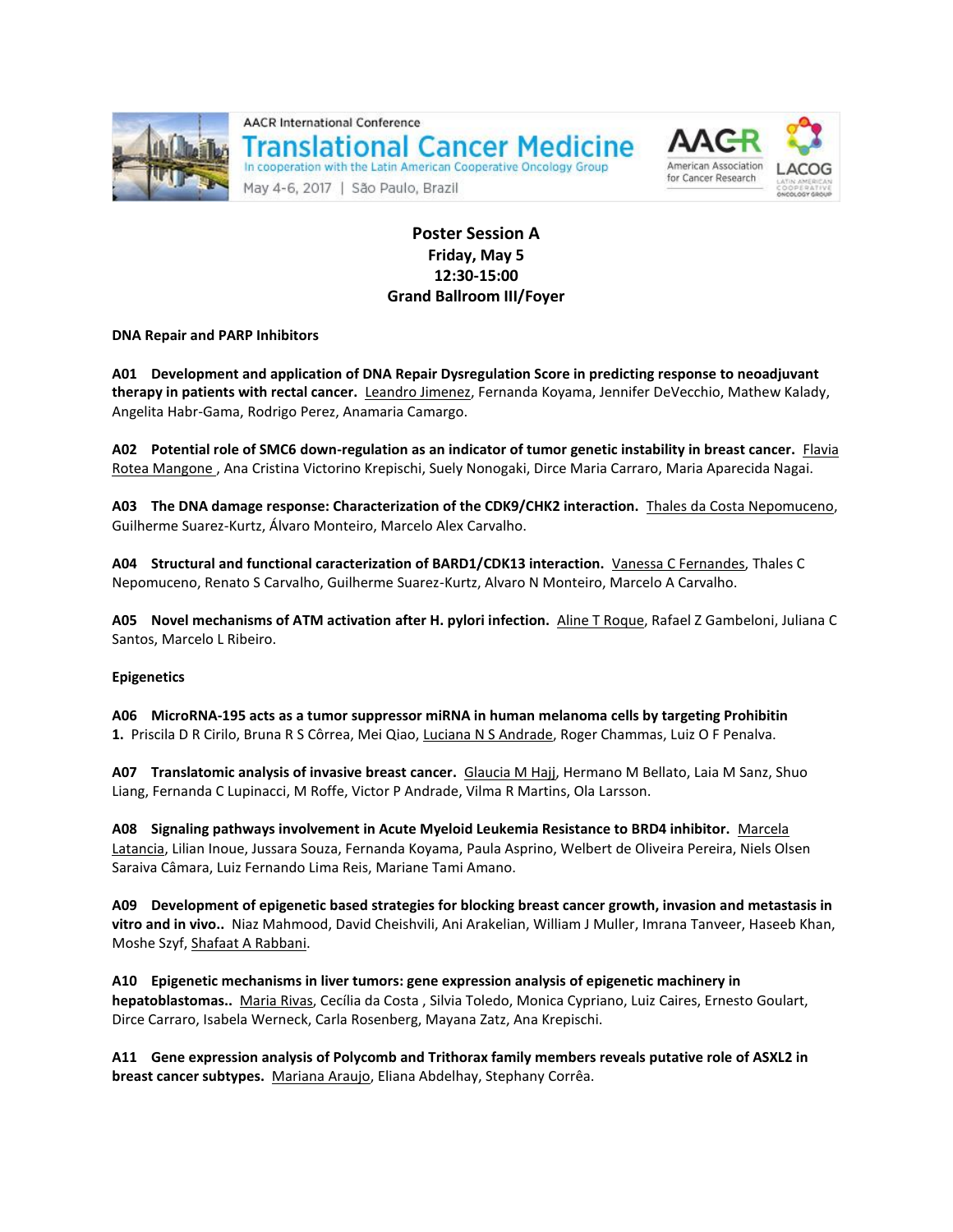

**AACR International Conference Translational Cancer Medicine** In cooperation with the Latin American Cooperative Oncology Group

May 4-6, 2017 | São Paulo, Brazil



# **Poster Session A Friday, May 5 12:30-15:00 Grand Ballroom III/Foyer**

**DNA Repair and PARP Inhibitors**

**A01 Development and application of DNA Repair Dysregulation Score in predicting response to neoadjuvant therapy in patients with rectal cancer.** Leandro Jimenez, Fernanda Koyama, Jennifer DeVecchio, Mathew Kalady, Angelita Habr-Gama, Rodrigo Perez, Anamaria Camargo.

**A02 Potential role of SMC6 down-regulation as an indicator of tumor genetic instability in breast cancer.** Flavia Rotea Mangone , Ana Cristina Victorino Krepischi, Suely Nonogaki, Dirce Maria Carraro, Maria Aparecida Nagai.

**A03 The DNA damage response: Characterization of the CDK9/CHK2 interaction.** Thales da Costa Nepomuceno, Guilherme Suarez-Kurtz, Álvaro Monteiro, Marcelo Alex Carvalho.

**A04 Structural and functional caracterization of BARD1/CDK13 interaction.** Vanessa C Fernandes, Thales C Nepomuceno, Renato S Carvalho, Guilherme Suarez-Kurtz, Alvaro N Monteiro, Marcelo A Carvalho.

**A05 Novel mechanisms of ATM activation after H. pylori infection.** Aline T Roque, Rafael Z Gambeloni, Juliana C Santos, Marcelo L Ribeiro.

# **Epigenetics**

**A06 MicroRNA-195 acts as a tumor suppressor miRNA in human melanoma cells by targeting Prohibitin 1.** Priscila D R Cirilo, Bruna R S Côrrea, Mei Qiao, Luciana N S Andrade, Roger Chammas, Luiz O F Penalva.

**A07 Translatomic analysis of invasive breast cancer.** Glaucia M Hajj, Hermano M Bellato, Laia M Sanz, Shuo Liang, Fernanda C Lupinacci, M Roffe, Victor P Andrade, Vilma R Martins, Ola Larsson.

**A08 Signaling pathways involvement in Acute Myeloid Leukemia Resistance to BRD4 inhibitor.** Marcela Latancia, Lilian Inoue, Jussara Souza, Fernanda Koyama, Paula Asprino, Welbert de Oliveira Pereira, Niels Olsen Saraiva Câmara, Luiz Fernando Lima Reis, Mariane Tami Amano.

**A09 Development of epigenetic based strategies for blocking breast cancer growth, invasion and metastasis in vitro and in vivo..** Niaz Mahmood, David Cheishvili, Ani Arakelian, William J Muller, Imrana Tanveer, Haseeb Khan, Moshe Szyf, Shafaat A Rabbani.

**A10 Epigenetic mechanisms in liver tumors: gene expression analysis of epigenetic machinery in hepatoblastomas..** Maria Rivas, Cecília da Costa , Silvia Toledo, Monica Cypriano, Luiz Caires, Ernesto Goulart, Dirce Carraro, Isabela Werneck, Carla Rosenberg, Mayana Zatz, Ana Krepischi.

**A11 Gene expression analysis of Polycomb and Trithorax family members reveals putative role of ASXL2 in breast cancer subtypes.** Mariana Araujo, Eliana Abdelhay, Stephany Corrêa.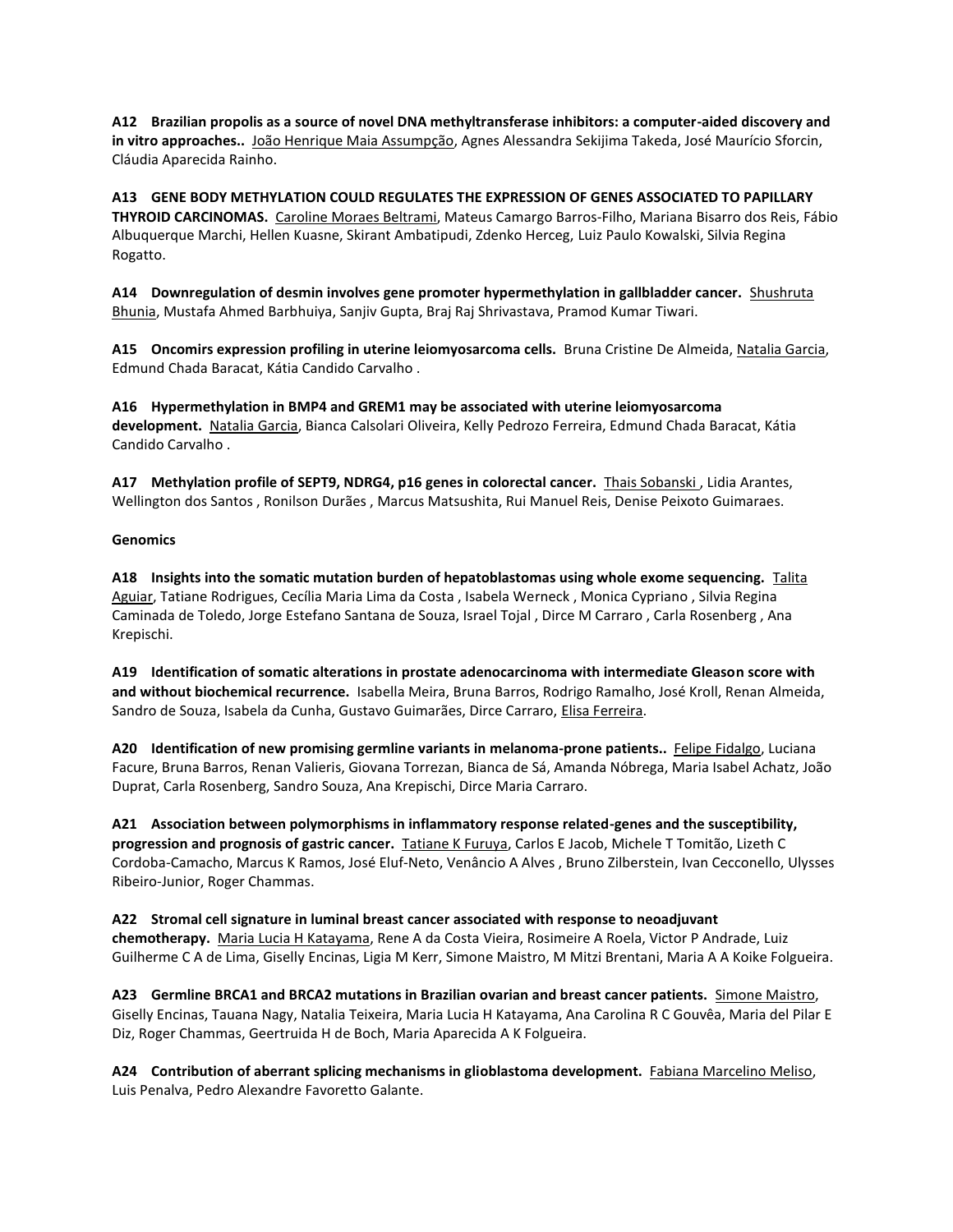**A12 Brazilian propolis as a source of novel DNA methyltransferase inhibitors: a computer-aided discovery and in vitro approaches..** João Henrique Maia Assumpção, Agnes Alessandra Sekijima Takeda, José Maurício Sforcin, Cláudia Aparecida Rainho.

**A13 GENE BODY METHYLATION COULD REGULATES THE EXPRESSION OF GENES ASSOCIATED TO PAPILLARY THYROID CARCINOMAS.** Caroline Moraes Beltrami, Mateus Camargo Barros-Filho, Mariana Bisarro dos Reis, Fábio Albuquerque Marchi, Hellen Kuasne, Skirant Ambatipudi, Zdenko Herceg, Luiz Paulo Kowalski, Silvia Regina Rogatto.

**A14 Downregulation of desmin involves gene promoter hypermethylation in gallbladder cancer.** Shushruta Bhunia, Mustafa Ahmed Barbhuiya, Sanjiv Gupta, Braj Raj Shrivastava, Pramod Kumar Tiwari.

**A15 Oncomirs expression profiling in uterine leiomyosarcoma cells.** Bruna Cristine De Almeida, Natalia Garcia, Edmund Chada Baracat, Kátia Candido Carvalho .

**A16 Hypermethylation in BMP4 and GREM1 may be associated with uterine leiomyosarcoma development.** Natalia Garcia, Bianca Calsolari Oliveira, Kelly Pedrozo Ferreira, Edmund Chada Baracat, Kátia Candido Carvalho .

**A17 Methylation profile of SEPT9, NDRG4, p16 genes in colorectal cancer.** Thais Sobanski , Lidia Arantes, Wellington dos Santos , Ronilson Durães , Marcus Matsushita, Rui Manuel Reis, Denise Peixoto Guimaraes.

# **Genomics**

**A18 Insights into the somatic mutation burden of hepatoblastomas using whole exome sequencing.** Talita Aguiar, Tatiane Rodrigues, Cecília Maria Lima da Costa , Isabela Werneck , Monica Cypriano , Silvia Regina Caminada de Toledo, Jorge Estefano Santana de Souza, Israel Tojal , Dirce M Carraro , Carla Rosenberg , Ana Krepischi.

**A19 Identification of somatic alterations in prostate adenocarcinoma with intermediate Gleason score with and without biochemical recurrence.** Isabella Meira, Bruna Barros, Rodrigo Ramalho, José Kroll, Renan Almeida, Sandro de Souza, Isabela da Cunha, Gustavo Guimarães, Dirce Carraro, Elisa Ferreira.

**A20 Identification of new promising germline variants in melanoma-prone patients..** Felipe Fidalgo, Luciana Facure, Bruna Barros, Renan Valieris, Giovana Torrezan, Bianca de Sá, Amanda Nóbrega, Maria Isabel Achatz, João Duprat, Carla Rosenberg, Sandro Souza, Ana Krepischi, Dirce Maria Carraro.

**A21 Association between polymorphisms in inflammatory response related-genes and the susceptibility, progression and prognosis of gastric cancer.** Tatiane K Furuya, Carlos E Jacob, Michele T Tomitão, Lizeth C Cordoba-Camacho, Marcus K Ramos, José Eluf-Neto, Venâncio A Alves , Bruno Zilberstein, Ivan Cecconello, Ulysses Ribeiro-Junior, Roger Chammas.

**A22 Stromal cell signature in luminal breast cancer associated with response to neoadjuvant chemotherapy.** Maria Lucia H Katayama, Rene A da Costa Vieira, Rosimeire A Roela, Victor P Andrade, Luiz Guilherme C A de Lima, Giselly Encinas, Ligia M Kerr, Simone Maistro, M Mitzi Brentani, Maria A A Koike Folgueira.

**A23 Germline BRCA1 and BRCA2 mutations in Brazilian ovarian and breast cancer patients.** Simone Maistro, Giselly Encinas, Tauana Nagy, Natalia Teixeira, Maria Lucia H Katayama, Ana Carolina R C Gouvêa, Maria del Pilar E Diz, Roger Chammas, Geertruida H de Boch, Maria Aparecida A K Folgueira.

**A24 Contribution of aberrant splicing mechanisms in glioblastoma development.** Fabiana Marcelino Meliso, Luis Penalva, Pedro Alexandre Favoretto Galante.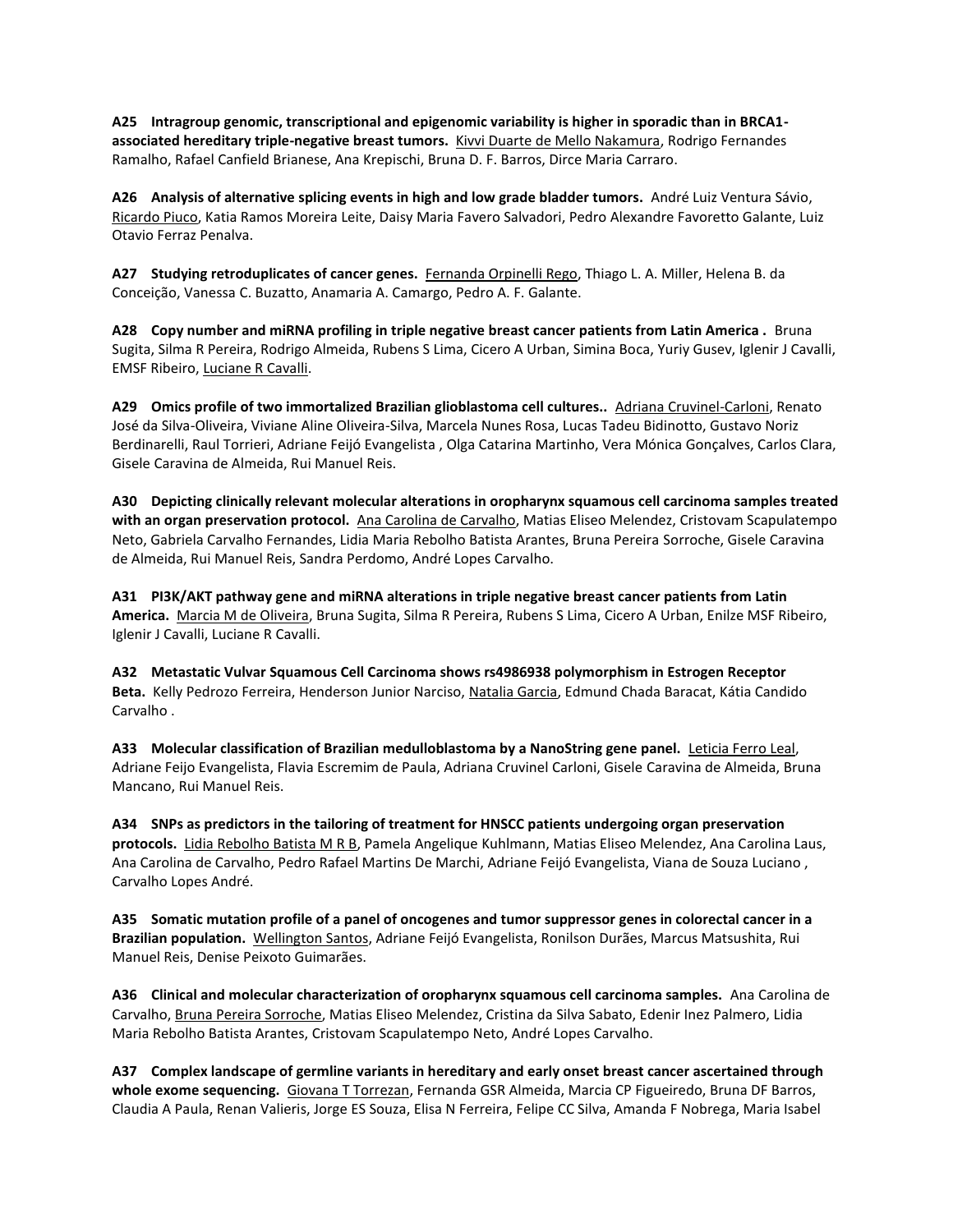**A25 Intragroup genomic, transcriptional and epigenomic variability is higher in sporadic than in BRCA1 associated hereditary triple-negative breast tumors.** Kivvi Duarte de Mello Nakamura, Rodrigo Fernandes Ramalho, Rafael Canfield Brianese, Ana Krepischi, Bruna D. F. Barros, Dirce Maria Carraro.

**A26 Analysis of alternative splicing events in high and low grade bladder tumors.** André Luiz Ventura Sávio, Ricardo Piuco, Katia Ramos Moreira Leite, Daisy Maria Favero Salvadori, Pedro Alexandre Favoretto Galante, Luiz Otavio Ferraz Penalva.

**A27 Studying retroduplicates of cancer genes.** Fernanda Orpinelli Rego, Thiago L. A. Miller, Helena B. da Conceição, Vanessa C. Buzatto, Anamaria A. Camargo, Pedro A. F. Galante.

**A28 Copy number and miRNA profiling in triple negative breast cancer patients from Latin America .** Bruna Sugita, Silma R Pereira, Rodrigo Almeida, Rubens S Lima, Cicero A Urban, Simina Boca, Yuriy Gusev, Iglenir J Cavalli, EMSF Ribeiro, Luciane R Cavalli.

**A29 Omics profile of two immortalized Brazilian glioblastoma cell cultures..** Adriana Cruvinel-Carloni, Renato José da Silva-Oliveira, Viviane Aline Oliveira-Silva, Marcela Nunes Rosa, Lucas Tadeu Bidinotto, Gustavo Noriz Berdinarelli, Raul Torrieri, Adriane Feijó Evangelista , Olga Catarina Martinho, Vera Mónica Gonçalves, Carlos Clara, Gisele Caravina de Almeida, Rui Manuel Reis.

**A30 Depicting clinically relevant molecular alterations in oropharynx squamous cell carcinoma samples treated with an organ preservation protocol.** Ana Carolina de Carvalho, Matias Eliseo Melendez, Cristovam Scapulatempo Neto, Gabriela Carvalho Fernandes, Lidia Maria Rebolho Batista Arantes, Bruna Pereira Sorroche, Gisele Caravina de Almeida, Rui Manuel Reis, Sandra Perdomo, André Lopes Carvalho.

**A31 PI3K/AKT pathway gene and miRNA alterations in triple negative breast cancer patients from Latin America.** Marcia M de Oliveira, Bruna Sugita, Silma R Pereira, Rubens S Lima, Cicero A Urban, Enilze MSF Ribeiro, Iglenir J Cavalli, Luciane R Cavalli.

**A32 Metastatic Vulvar Squamous Cell Carcinoma shows rs4986938 polymorphism in Estrogen Receptor Beta.** Kelly Pedrozo Ferreira, Henderson Junior Narciso, Natalia Garcia, Edmund Chada Baracat, Kátia Candido Carvalho .

**A33 Molecular classification of Brazilian medulloblastoma by a NanoString gene panel.** Leticia Ferro Leal, Adriane Feijo Evangelista, Flavia Escremim de Paula, Adriana Cruvinel Carloni, Gisele Caravina de Almeida, Bruna Mancano, Rui Manuel Reis.

**A34 SNPs as predictors in the tailoring of treatment for HNSCC patients undergoing organ preservation protocols.** Lidia Rebolho Batista M R B, Pamela Angelique Kuhlmann, Matias Eliseo Melendez, Ana Carolina Laus, Ana Carolina de Carvalho, Pedro Rafael Martins De Marchi, Adriane Feijó Evangelista, Viana de Souza Luciano , Carvalho Lopes André.

**A35 Somatic mutation profile of a panel of oncogenes and tumor suppressor genes in colorectal cancer in a Brazilian population.** Wellington Santos, Adriane Feijó Evangelista, Ronilson Durães, Marcus Matsushita, Rui Manuel Reis, Denise Peixoto Guimarães.

**A36 Clinical and molecular characterization of oropharynx squamous cell carcinoma samples.** Ana Carolina de Carvalho, Bruna Pereira Sorroche, Matias Eliseo Melendez, Cristina da Silva Sabato, Edenir Inez Palmero, Lidia Maria Rebolho Batista Arantes, Cristovam Scapulatempo Neto, André Lopes Carvalho.

**A37 Complex landscape of germline variants in hereditary and early onset breast cancer ascertained through**  whole exome sequencing. Giovana T Torrezan, Fernanda GSR Almeida, Marcia CP Figueiredo, Bruna DF Barros, Claudia A Paula, Renan Valieris, Jorge ES Souza, Elisa N Ferreira, Felipe CC Silva, Amanda F Nobrega, Maria Isabel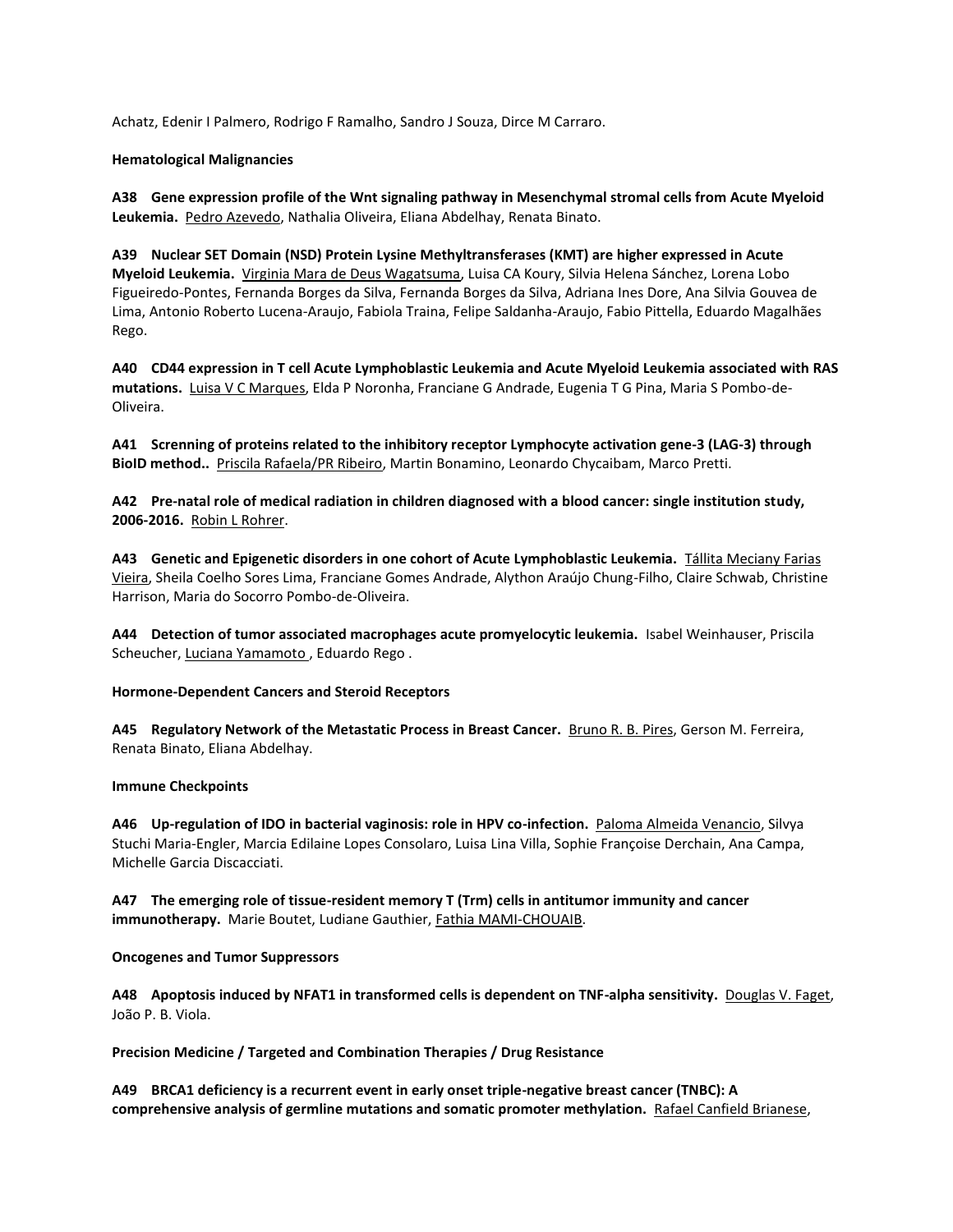Achatz, Edenir I Palmero, Rodrigo F Ramalho, Sandro J Souza, Dirce M Carraro.

## **Hematological Malignancies**

**A38 Gene expression profile of the Wnt signaling pathway in Mesenchymal stromal cells from Acute Myeloid Leukemia.** Pedro Azevedo, Nathalia Oliveira, Eliana Abdelhay, Renata Binato.

**A39 Nuclear SET Domain (NSD) Protein Lysine Methyltransferases (KMT) are higher expressed in Acute Myeloid Leukemia.** Virginia Mara de Deus Wagatsuma, Luisa CA Koury, Silvia Helena Sánchez, Lorena Lobo Figueiredo-Pontes, Fernanda Borges da Silva, Fernanda Borges da Silva, Adriana Ines Dore, Ana Silvia Gouvea de Lima, Antonio Roberto Lucena-Araujo, Fabiola Traina, Felipe Saldanha-Araujo, Fabio Pittella, Eduardo Magalhães Rego.

**A40 CD44 expression in T cell Acute Lymphoblastic Leukemia and Acute Myeloid Leukemia associated with RAS mutations.** Luisa V C Marques, Elda P Noronha, Franciane G Andrade, Eugenia T G Pina, Maria S Pombo-de-Oliveira.

**A41 Screnning of proteins related to the inhibitory receptor Lymphocyte activation gene-3 (LAG-3) through BioID method..** Priscila Rafaela/PR Ribeiro, Martin Bonamino, Leonardo Chycaibam, Marco Pretti.

**A42 Pre-natal role of medical radiation in children diagnosed with a blood cancer: single institution study, 2006-2016.** Robin L Rohrer.

**A43 Genetic and Epigenetic disorders in one cohort of Acute Lymphoblastic Leukemia.** Tállita Meciany Farias Vieira, Sheila Coelho Sores Lima, Franciane Gomes Andrade, Alython Araújo Chung-Filho, Claire Schwab, Christine Harrison, Maria do Socorro Pombo-de-Oliveira.

**A44 Detection of tumor associated macrophages acute promyelocytic leukemia.** Isabel Weinhauser, Priscila Scheucher, Luciana Yamamoto , Eduardo Rego .

#### **Hormone-Dependent Cancers and Steroid Receptors**

**A45 Regulatory Network of the Metastatic Process in Breast Cancer.** Bruno R. B. Pires, Gerson M. Ferreira, Renata Binato, Eliana Abdelhay.

#### **Immune Checkpoints**

**A46 Up-regulation of IDO in bacterial vaginosis: role in HPV co-infection.** Paloma Almeida Venancio, Silvya Stuchi Maria-Engler, Marcia Edilaine Lopes Consolaro, Luisa Lina Villa, Sophie Françoise Derchain, Ana Campa, Michelle Garcia Discacciati.

**A47 The emerging role of tissue-resident memory T (Trm) cells in antitumor immunity and cancer immunotherapy.** Marie Boutet, Ludiane Gauthier, Fathia MAMI-CHOUAIB.

#### **Oncogenes and Tumor Suppressors**

**A48 Apoptosis induced by NFAT1 in transformed cells is dependent on TNF-alpha sensitivity.** Douglas V. Faget, João P. B. Viola.

**Precision Medicine / Targeted and Combination Therapies / Drug Resistance**

**A49 BRCA1 deficiency is a recurrent event in early onset triple-negative breast cancer (TNBC): A comprehensive analysis of germline mutations and somatic promoter methylation.** Rafael Canfield Brianese,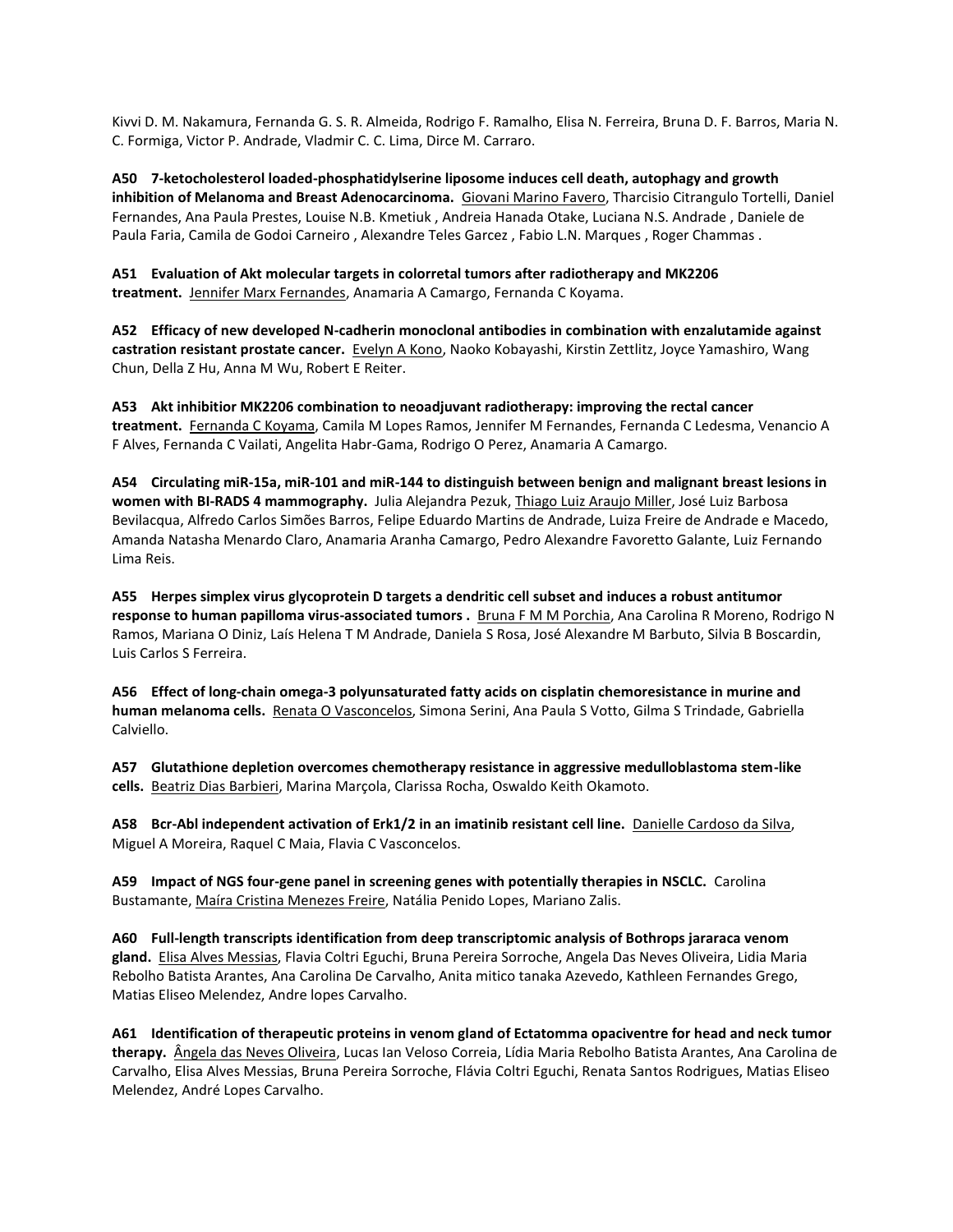Kivvi D. M. Nakamura, Fernanda G. S. R. Almeida, Rodrigo F. Ramalho, Elisa N. Ferreira, Bruna D. F. Barros, Maria N. C. Formiga, Victor P. Andrade, Vladmir C. C. Lima, Dirce M. Carraro.

**A50 7-ketocholesterol loaded-phosphatidylserine liposome induces cell death, autophagy and growth inhibition of Melanoma and Breast Adenocarcinoma.** Giovani Marino Favero, Tharcisio Citrangulo Tortelli, Daniel Fernandes, Ana Paula Prestes, Louise N.B. Kmetiuk , Andreia Hanada Otake, Luciana N.S. Andrade , Daniele de Paula Faria, Camila de Godoi Carneiro , Alexandre Teles Garcez , Fabio L.N. Marques , Roger Chammas .

**A51 Evaluation of Akt molecular targets in colorretal tumors after radiotherapy and MK2206 treatment.** Jennifer Marx Fernandes, Anamaria A Camargo, Fernanda C Koyama.

**A52 Efficacy of new developed N-cadherin monoclonal antibodies in combination with enzalutamide against castration resistant prostate cancer.** Evelyn A Kono, Naoko Kobayashi, Kirstin Zettlitz, Joyce Yamashiro, Wang Chun, Della Z Hu, Anna M Wu, Robert E Reiter.

**A53 Akt inhibitior MK2206 combination to neoadjuvant radiotherapy: improving the rectal cancer treatment.** Fernanda C Koyama, Camila M Lopes Ramos, Jennifer M Fernandes, Fernanda C Ledesma, Venancio A F Alves, Fernanda C Vailati, Angelita Habr-Gama, Rodrigo O Perez, Anamaria A Camargo.

**A54 Circulating miR-15a, miR-101 and miR-144 to distinguish between benign and malignant breast lesions in women with BI-RADS 4 mammography.** Julia Alejandra Pezuk, Thiago Luiz Araujo Miller, José Luiz Barbosa Bevilacqua, Alfredo Carlos Simões Barros, Felipe Eduardo Martins de Andrade, Luiza Freire de Andrade e Macedo, Amanda Natasha Menardo Claro, Anamaria Aranha Camargo, Pedro Alexandre Favoretto Galante, Luiz Fernando Lima Reis.

**A55 Herpes simplex virus glycoprotein D targets a dendritic cell subset and induces a robust antitumor response to human papilloma virus-associated tumors .** Bruna F M M Porchia, Ana Carolina R Moreno, Rodrigo N Ramos, Mariana O Diniz, Laís Helena T M Andrade, Daniela S Rosa, José Alexandre M Barbuto, Silvia B Boscardin, Luis Carlos S Ferreira.

**A56 Effect of long-chain omega-3 polyunsaturated fatty acids on cisplatin chemoresistance in murine and human melanoma cells.** Renata O Vasconcelos, Simona Serini, Ana Paula S Votto, Gilma S Trindade, Gabriella Calviello.

**A57 Glutathione depletion overcomes chemotherapy resistance in aggressive medulloblastoma stem-like cells.** Beatriz Dias Barbieri, Marina Marçola, Clarissa Rocha, Oswaldo Keith Okamoto.

**A58 Bcr-Abl independent activation of Erk1/2 in an imatinib resistant cell line.** Danielle Cardoso da Silva, Miguel A Moreira, Raquel C Maia, Flavia C Vasconcelos.

**A59 Impact of NGS four-gene panel in screening genes with potentially therapies in NSCLC.** Carolina Bustamante, Maíra Cristina Menezes Freire, Natália Penido Lopes, Mariano Zalis.

**A60 Full-length transcripts identification from deep transcriptomic analysis of Bothrops jararaca venom gland.** Elisa Alves Messias, Flavia Coltri Eguchi, Bruna Pereira Sorroche, Angela Das Neves Oliveira, Lidia Maria Rebolho Batista Arantes, Ana Carolina De Carvalho, Anita mitico tanaka Azevedo, Kathleen Fernandes Grego, Matias Eliseo Melendez, Andre lopes Carvalho.

**A61 Identification of therapeutic proteins in venom gland of Ectatomma opaciventre for head and neck tumor therapy.** Ângela das Neves Oliveira, Lucas Ian Veloso Correia, Lídia Maria Rebolho Batista Arantes, Ana Carolina de Carvalho, Elisa Alves Messias, Bruna Pereira Sorroche, Flávia Coltri Eguchi, Renata Santos Rodrigues, Matias Eliseo Melendez, André Lopes Carvalho.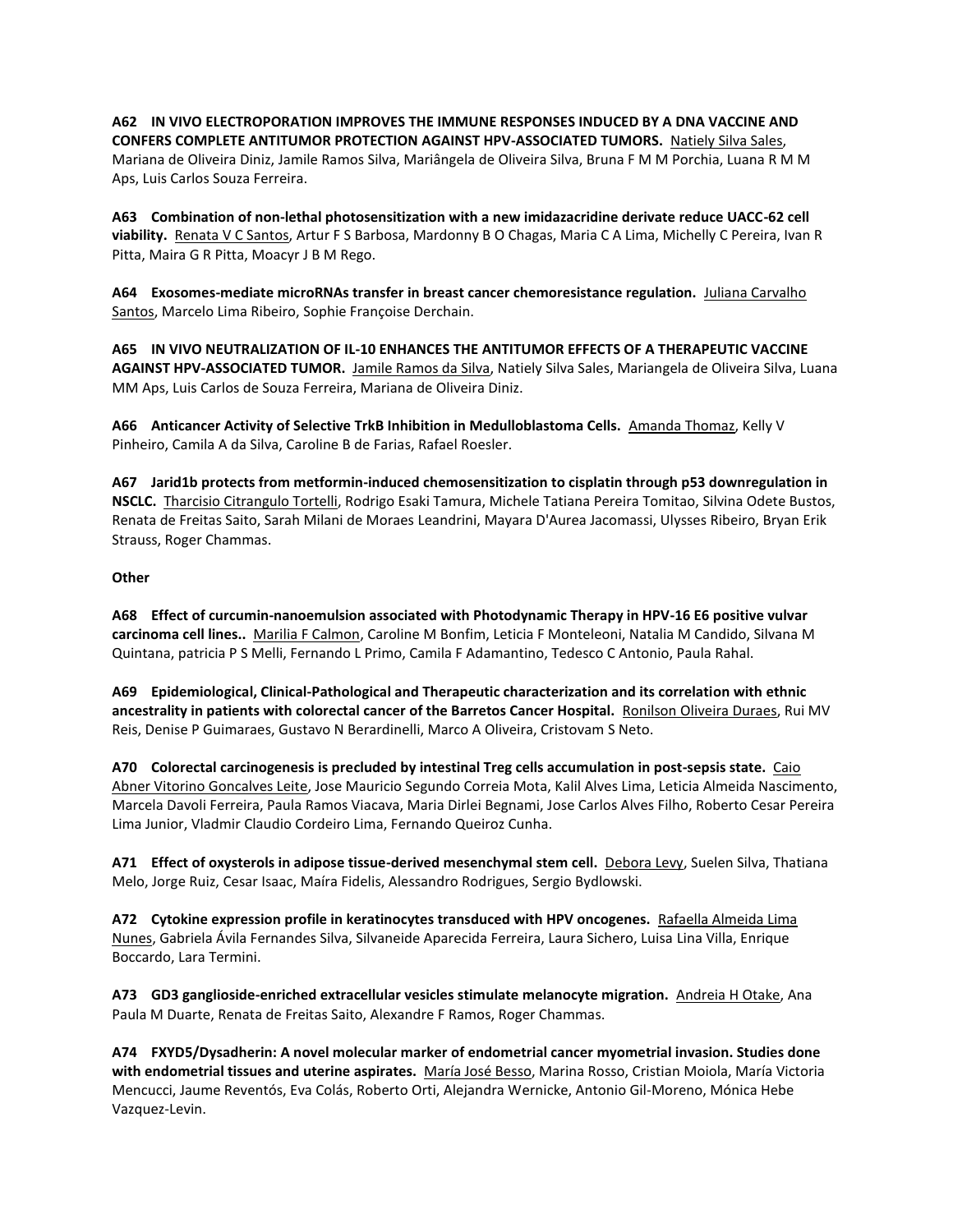**A62 IN VIVO ELECTROPORATION IMPROVES THE IMMUNE RESPONSES INDUCED BY A DNA VACCINE AND CONFERS COMPLETE ANTITUMOR PROTECTION AGAINST HPV-ASSOCIATED TUMORS.** Natiely Silva Sales, Mariana de Oliveira Diniz, Jamile Ramos Silva, Mariângela de Oliveira Silva, Bruna F M M Porchia, Luana R M M Aps, Luis Carlos Souza Ferreira.

**A63 Combination of non-lethal photosensitization with a new imidazacridine derivate reduce UACC-62 cell viability.** Renata V C Santos, Artur F S Barbosa, Mardonny B O Chagas, Maria C A Lima, Michelly C Pereira, Ivan R Pitta, Maira G R Pitta, Moacyr J B M Rego.

**A64 Exosomes-mediate microRNAs transfer in breast cancer chemoresistance regulation.** Juliana Carvalho Santos, Marcelo Lima Ribeiro, Sophie Françoise Derchain.

**A65 IN VIVO NEUTRALIZATION OF IL-10 ENHANCES THE ANTITUMOR EFFECTS OF A THERAPEUTIC VACCINE AGAINST HPV-ASSOCIATED TUMOR.** Jamile Ramos da Silva, Natiely Silva Sales, Mariangela de Oliveira Silva, Luana MM Aps, Luis Carlos de Souza Ferreira, Mariana de Oliveira Diniz.

**A66 Anticancer Activity of Selective TrkB Inhibition in Medulloblastoma Cells.** Amanda Thomaz, Kelly V Pinheiro, Camila A da Silva, Caroline B de Farias, Rafael Roesler.

**A67 Jarid1b protects from metformin-induced chemosensitization to cisplatin through p53 downregulation in NSCLC.** Tharcisio Citrangulo Tortelli, Rodrigo Esaki Tamura, Michele Tatiana Pereira Tomitao, Silvina Odete Bustos, Renata de Freitas Saito, Sarah Milani de Moraes Leandrini, Mayara D'Aurea Jacomassi, Ulysses Ribeiro, Bryan Erik Strauss, Roger Chammas.

# **Other**

**A68 Effect of curcumin-nanoemulsion associated with Photodynamic Therapy in HPV-16 E6 positive vulvar carcinoma cell lines..** Marilia F Calmon, Caroline M Bonfim, Leticia F Monteleoni, Natalia M Candido, Silvana M Quintana, patricia P S Melli, Fernando L Primo, Camila F Adamantino, Tedesco C Antonio, Paula Rahal.

**A69 Epidemiological, Clinical-Pathological and Therapeutic characterization and its correlation with ethnic ancestrality in patients with colorectal cancer of the Barretos Cancer Hospital.** Ronilson Oliveira Duraes, Rui MV Reis, Denise P Guimaraes, Gustavo N Berardinelli, Marco A Oliveira, Cristovam S Neto.

**A70 Colorectal carcinogenesis is precluded by intestinal Treg cells accumulation in post-sepsis state.** Caio Abner Vitorino Goncalves Leite, Jose Mauricio Segundo Correia Mota, Kalil Alves Lima, Leticia Almeida Nascimento, Marcela Davoli Ferreira, Paula Ramos Viacava, Maria Dirlei Begnami, Jose Carlos Alves Filho, Roberto Cesar Pereira Lima Junior, Vladmir Claudio Cordeiro Lima, Fernando Queiroz Cunha.

**A71 Effect of oxysterols in adipose tissue-derived mesenchymal stem cell.** Debora Levy, Suelen Silva, Thatiana Melo, Jorge Ruiz, Cesar Isaac, Maíra Fidelis, Alessandro Rodrigues, Sergio Bydlowski.

**A72 Cytokine expression profile in keratinocytes transduced with HPV oncogenes.** Rafaella Almeida Lima Nunes, Gabriela Ávila Fernandes Silva, Silvaneide Aparecida Ferreira, Laura Sichero, Luisa Lina Villa, Enrique Boccardo, Lara Termini.

**A73 GD3 ganglioside-enriched extracellular vesicles stimulate melanocyte migration.** Andreia H Otake, Ana Paula M Duarte, Renata de Freitas Saito, Alexandre F Ramos, Roger Chammas.

**A74 FXYD5/Dysadherin: A novel molecular marker of endometrial cancer myometrial invasion. Studies done with endometrial tissues and uterine aspirates.** María José Besso, Marina Rosso, Cristian Moiola, María Victoria Mencucci, Jaume Reventós, Eva Colás, Roberto Orti, Alejandra Wernicke, Antonio Gil-Moreno, Mónica Hebe Vazquez-Levin.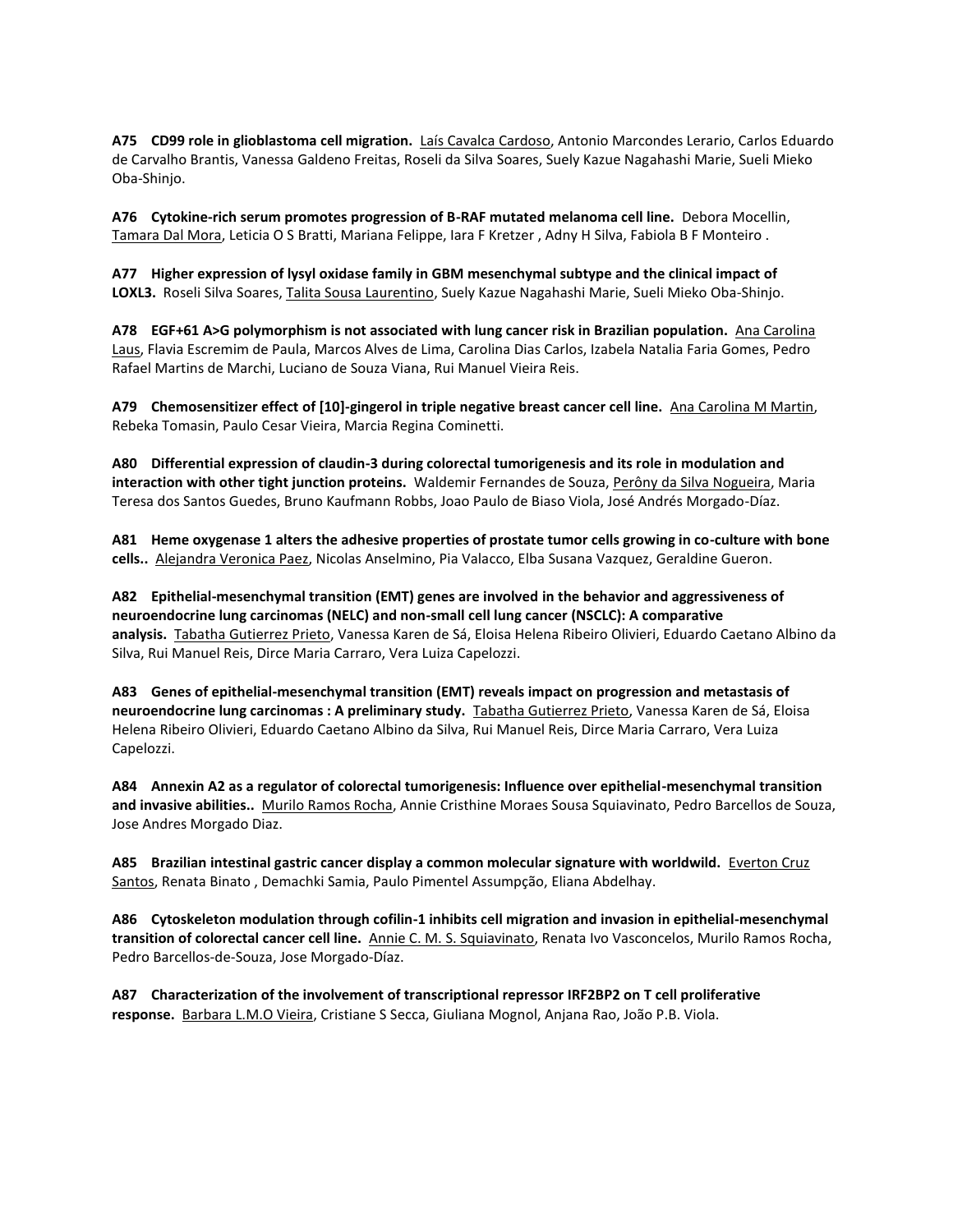**A75 CD99 role in glioblastoma cell migration.** Laís Cavalca Cardoso, Antonio Marcondes Lerario, Carlos Eduardo de Carvalho Brantis, Vanessa Galdeno Freitas, Roseli da Silva Soares, Suely Kazue Nagahashi Marie, Sueli Mieko Oba-Shinjo.

**A76 Cytokine-rich serum promotes progression of B-RAF mutated melanoma cell line.** Debora Mocellin, Tamara Dal Mora, Leticia O S Bratti, Mariana Felippe, Iara F Kretzer , Adny H Silva, Fabiola B F Monteiro .

**A77 Higher expression of lysyl oxidase family in GBM mesenchymal subtype and the clinical impact of LOXL3.** Roseli Silva Soares, Talita Sousa Laurentino, Suely Kazue Nagahashi Marie, Sueli Mieko Oba-Shinjo.

**A78 EGF+61 A>G polymorphism is not associated with lung cancer risk in Brazilian population.** Ana Carolina Laus, Flavia Escremim de Paula, Marcos Alves de Lima, Carolina Dias Carlos, Izabela Natalia Faria Gomes, Pedro Rafael Martins de Marchi, Luciano de Souza Viana, Rui Manuel Vieira Reis.

**A79 Chemosensitizer effect of [10]-gingerol in triple negative breast cancer cell line.** Ana Carolina M Martin, Rebeka Tomasin, Paulo Cesar Vieira, Marcia Regina Cominetti.

**A80 Differential expression of claudin-3 during colorectal tumorigenesis and its role in modulation and interaction with other tight junction proteins.** Waldemir Fernandes de Souza, Perôny da Silva Nogueira, Maria Teresa dos Santos Guedes, Bruno Kaufmann Robbs, Joao Paulo de Biaso Viola, José Andrés Morgado-Díaz.

**A81 Heme oxygenase 1 alters the adhesive properties of prostate tumor cells growing in co-culture with bone cells..** Alejandra Veronica Paez, Nicolas Anselmino, Pia Valacco, Elba Susana Vazquez, Geraldine Gueron.

**A82 Epithelial-mesenchymal transition (EMT) genes are involved in the behavior and aggressiveness of neuroendocrine lung carcinomas (NELC) and non-small cell lung cancer (NSCLC): A comparative analysis.** Tabatha Gutierrez Prieto, Vanessa Karen de Sá, Eloisa Helena Ribeiro Olivieri, Eduardo Caetano Albino da Silva, Rui Manuel Reis, Dirce Maria Carraro, Vera Luiza Capelozzi.

**A83 Genes of epithelial-mesenchymal transition (EMT) reveals impact on progression and metastasis of neuroendocrine lung carcinomas : A preliminary study.** Tabatha Gutierrez Prieto, Vanessa Karen de Sá, Eloisa Helena Ribeiro Olivieri, Eduardo Caetano Albino da Silva, Rui Manuel Reis, Dirce Maria Carraro, Vera Luiza Capelozzi.

**A84 Annexin A2 as a regulator of colorectal tumorigenesis: Influence over epithelial-mesenchymal transition and invasive abilities..** Murilo Ramos Rocha, Annie Cristhine Moraes Sousa Squiavinato, Pedro Barcellos de Souza, Jose Andres Morgado Diaz.

**A85 Brazilian intestinal gastric cancer display a common molecular signature with worldwild.** Everton Cruz Santos, Renata Binato , Demachki Samia, Paulo Pimentel Assumpção, Eliana Abdelhay.

**A86 Cytoskeleton modulation through cofilin-1 inhibits cell migration and invasion in epithelial-mesenchymal transition of colorectal cancer cell line.** Annie C. M. S. Squiavinato, Renata Ivo Vasconcelos, Murilo Ramos Rocha, Pedro Barcellos-de-Souza, Jose Morgado-Díaz.

**A87 Characterization of the involvement of transcriptional repressor IRF2BP2 on T cell proliferative response.** Barbara L.M.O Vieira, Cristiane S Secca, Giuliana Mognol, Anjana Rao, João P.B. Viola.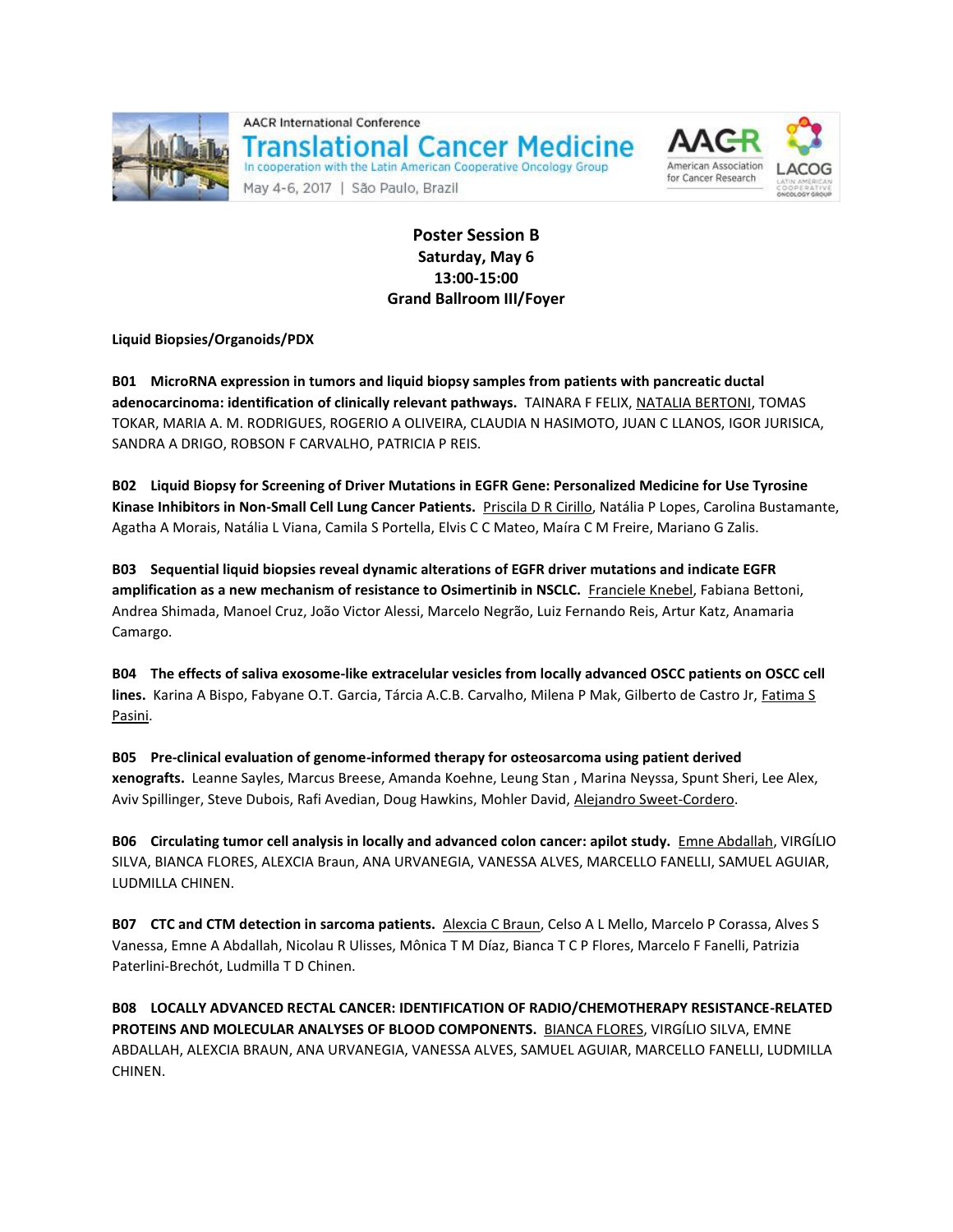

**AACR International Conference Translational Cancer Medicine** In cooperation with the Latin American Cooperative Oncology Group

May 4-6, 2017 | São Paulo, Brazil



**Poster Session B Saturday, May 6 13:00-15:00 Grand Ballroom III/Foyer**

**Liquid Biopsies/Organoids/PDX**

**B01 MicroRNA expression in tumors and liquid biopsy samples from patients with pancreatic ductal adenocarcinoma: identification of clinically relevant pathways.** TAINARA F FELIX, NATALIA BERTONI, TOMAS TOKAR, MARIA A. M. RODRIGUES, ROGERIO A OLIVEIRA, CLAUDIA N HASIMOTO, JUAN C LLANOS, IGOR JURISICA, SANDRA A DRIGO, ROBSON F CARVALHO, PATRICIA P REIS.

**B02 Liquid Biopsy for Screening of Driver Mutations in EGFR Gene: Personalized Medicine for Use Tyrosine Kinase Inhibitors in Non-Small Cell Lung Cancer Patients.** Priscila D R Cirillo, Natália P Lopes, Carolina Bustamante, Agatha A Morais, Natália L Viana, Camila S Portella, Elvis C C Mateo, Maíra C M Freire, Mariano G Zalis.

**B03 Sequential liquid biopsies reveal dynamic alterations of EGFR driver mutations and indicate EGFR amplification as a new mechanism of resistance to Osimertinib in NSCLC.** Franciele Knebel, Fabiana Bettoni, Andrea Shimada, Manoel Cruz, João Victor Alessi, Marcelo Negrão, Luiz Fernando Reis, Artur Katz, Anamaria Camargo.

**B04 The effects of saliva exosome-like extracelular vesicles from locally advanced OSCC patients on OSCC cell lines.** Karina A Bispo, Fabyane O.T. Garcia, Tárcia A.C.B. Carvalho, Milena P Mak, Gilberto de Castro Jr, Fatima S Pasini.

**B05 Pre-clinical evaluation of genome-informed therapy for osteosarcoma using patient derived xenografts.** Leanne Sayles, Marcus Breese, Amanda Koehne, Leung Stan , Marina Neyssa, Spunt Sheri, Lee Alex, Aviv Spillinger, Steve Dubois, Rafi Avedian, Doug Hawkins, Mohler David, Alejandro Sweet-Cordero.

**B06 Circulating tumor cell analysis in locally and advanced colon cancer: apilot study.** Emne Abdallah, VIRGÍLIO SILVA, BIANCA FLORES, ALEXCIA Braun, ANA URVANEGIA, VANESSA ALVES, MARCELLO FANELLI, SAMUEL AGUIAR, LUDMILLA CHINEN.

**B07 CTC and CTM detection in sarcoma patients.** Alexcia C Braun, Celso A L Mello, Marcelo P Corassa, Alves S Vanessa, Emne A Abdallah, Nicolau R Ulisses, Mônica T M Díaz, Bianca T C P Flores, Marcelo F Fanelli, Patrizia Paterlini-Brechót, Ludmilla T D Chinen.

**B08 LOCALLY ADVANCED RECTAL CANCER: IDENTIFICATION OF RADIO/CHEMOTHERAPY RESISTANCE-RELATED PROTEINS AND MOLECULAR ANALYSES OF BLOOD COMPONENTS.** BIANCA FLORES, VIRGÍLIO SILVA, EMNE ABDALLAH, ALEXCIA BRAUN, ANA URVANEGIA, VANESSA ALVES, SAMUEL AGUIAR, MARCELLO FANELLI, LUDMILLA CHINEN.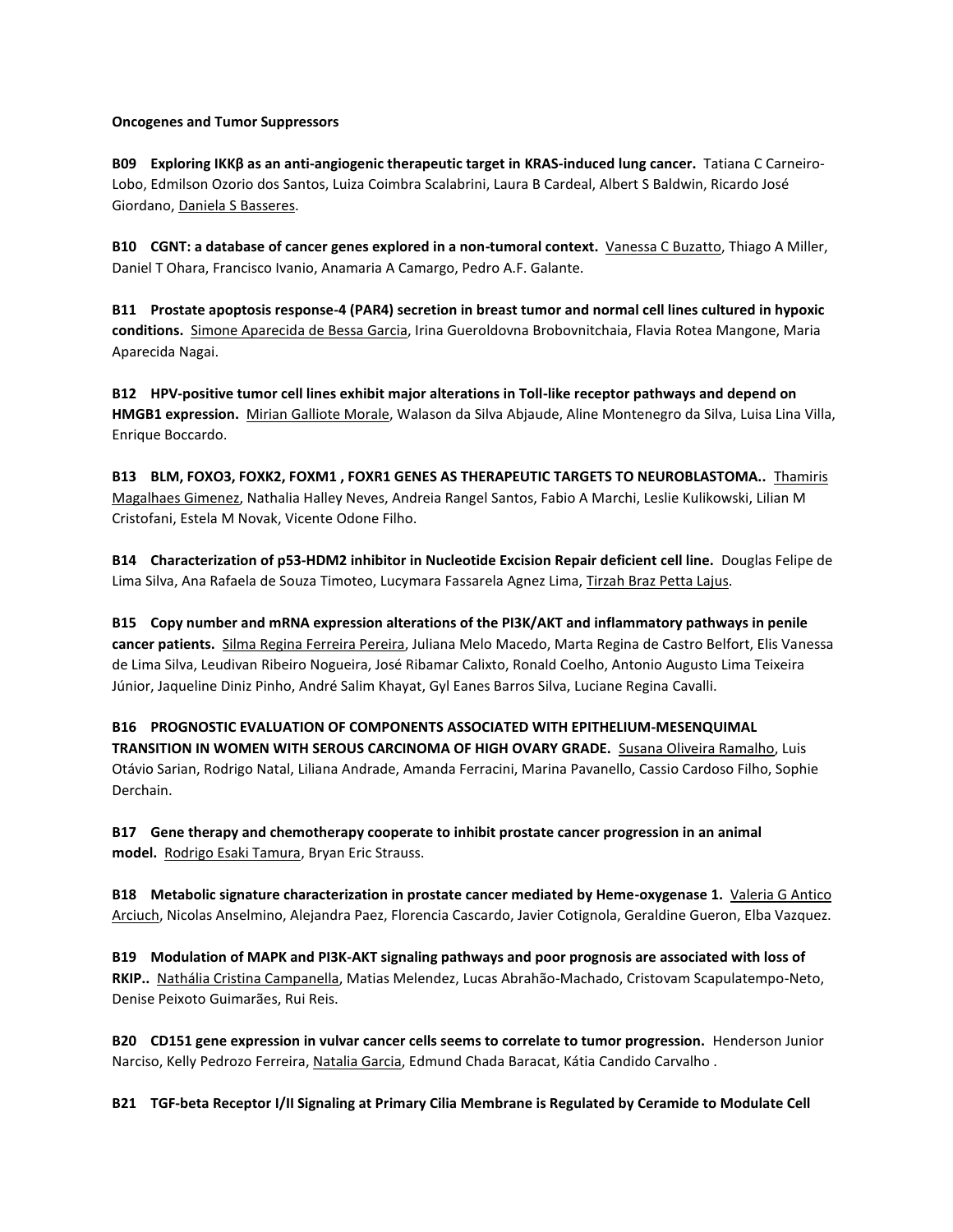## **Oncogenes and Tumor Suppressors**

Derchain.

**B09 Exploring IKKβ as an anti-angiogenic therapeutic target in KRAS-induced lung cancer.** Tatiana C Carneiro-Lobo, Edmilson Ozorio dos Santos, Luiza Coimbra Scalabrini, Laura B Cardeal, Albert S Baldwin, Ricardo José Giordano, Daniela S Basseres.

**B10 CGNT: a database of cancer genes explored in a non-tumoral context.** Vanessa C Buzatto, Thiago A Miller, Daniel T Ohara, Francisco Ivanio, Anamaria A Camargo, Pedro A.F. Galante.

**B11 Prostate apoptosis response-4 (PAR4) secretion in breast tumor and normal cell lines cultured in hypoxic conditions.** Simone Aparecida de Bessa Garcia, Irina Gueroldovna Brobovnitchaia, Flavia Rotea Mangone, Maria Aparecida Nagai.

**B12 HPV-positive tumor cell lines exhibit major alterations in Toll-like receptor pathways and depend on HMGB1 expression.** Mirian Galliote Morale, Walason da Silva Abjaude, Aline Montenegro da Silva, Luisa Lina Villa, Enrique Boccardo.

**B13 BLM, FOXO3, FOXK2, FOXM1 , FOXR1 GENES AS THERAPEUTIC TARGETS TO NEUROBLASTOMA..** Thamiris Magalhaes Gimenez, Nathalia Halley Neves, Andreia Rangel Santos, Fabio A Marchi, Leslie Kulikowski, Lilian M Cristofani, Estela M Novak, Vicente Odone Filho.

**B14 Characterization of p53-HDM2 inhibitor in Nucleotide Excision Repair deficient cell line.** Douglas Felipe de Lima Silva, Ana Rafaela de Souza Timoteo, Lucymara Fassarela Agnez Lima, Tirzah Braz Petta Lajus.

**B15 Copy number and mRNA expression alterations of the PI3K/AKT and inflammatory pathways in penile cancer patients.** Silma Regina Ferreira Pereira, Juliana Melo Macedo, Marta Regina de Castro Belfort, Elis Vanessa de Lima Silva, Leudivan Ribeiro Nogueira, José Ribamar Calixto, Ronald Coelho, Antonio Augusto Lima Teixeira Júnior, Jaqueline Diniz Pinho, André Salim Khayat, Gyl Eanes Barros Silva, Luciane Regina Cavalli.

**B16 PROGNOSTIC EVALUATION OF COMPONENTS ASSOCIATED WITH EPITHELIUM-MESENQUIMAL TRANSITION IN WOMEN WITH SEROUS CARCINOMA OF HIGH OVARY GRADE.** Susana Oliveira Ramalho, Luis Otávio Sarian, Rodrigo Natal, Liliana Andrade, Amanda Ferracini, Marina Pavanello, Cassio Cardoso Filho, Sophie

**B17 Gene therapy and chemotherapy cooperate to inhibit prostate cancer progression in an animal model.** Rodrigo Esaki Tamura, Bryan Eric Strauss.

**B18 Metabolic signature characterization in prostate cancer mediated by Heme-oxygenase 1.** Valeria G Antico Arciuch, Nicolas Anselmino, Alejandra Paez, Florencia Cascardo, Javier Cotignola, Geraldine Gueron, Elba Vazquez.

**B19 Modulation of MAPK and PI3K-AKT signaling pathways and poor prognosis are associated with loss of RKIP..** Nathália Cristina Campanella, Matias Melendez, Lucas Abrahão-Machado, Cristovam Scapulatempo-Neto, Denise Peixoto Guimarães, Rui Reis.

**B20 CD151 gene expression in vulvar cancer cells seems to correlate to tumor progression.** Henderson Junior Narciso, Kelly Pedrozo Ferreira, Natalia Garcia, Edmund Chada Baracat, Kátia Candido Carvalho .

**B21 TGF-beta Receptor I/II Signaling at Primary Cilia Membrane is Regulated by Ceramide to Modulate Cell**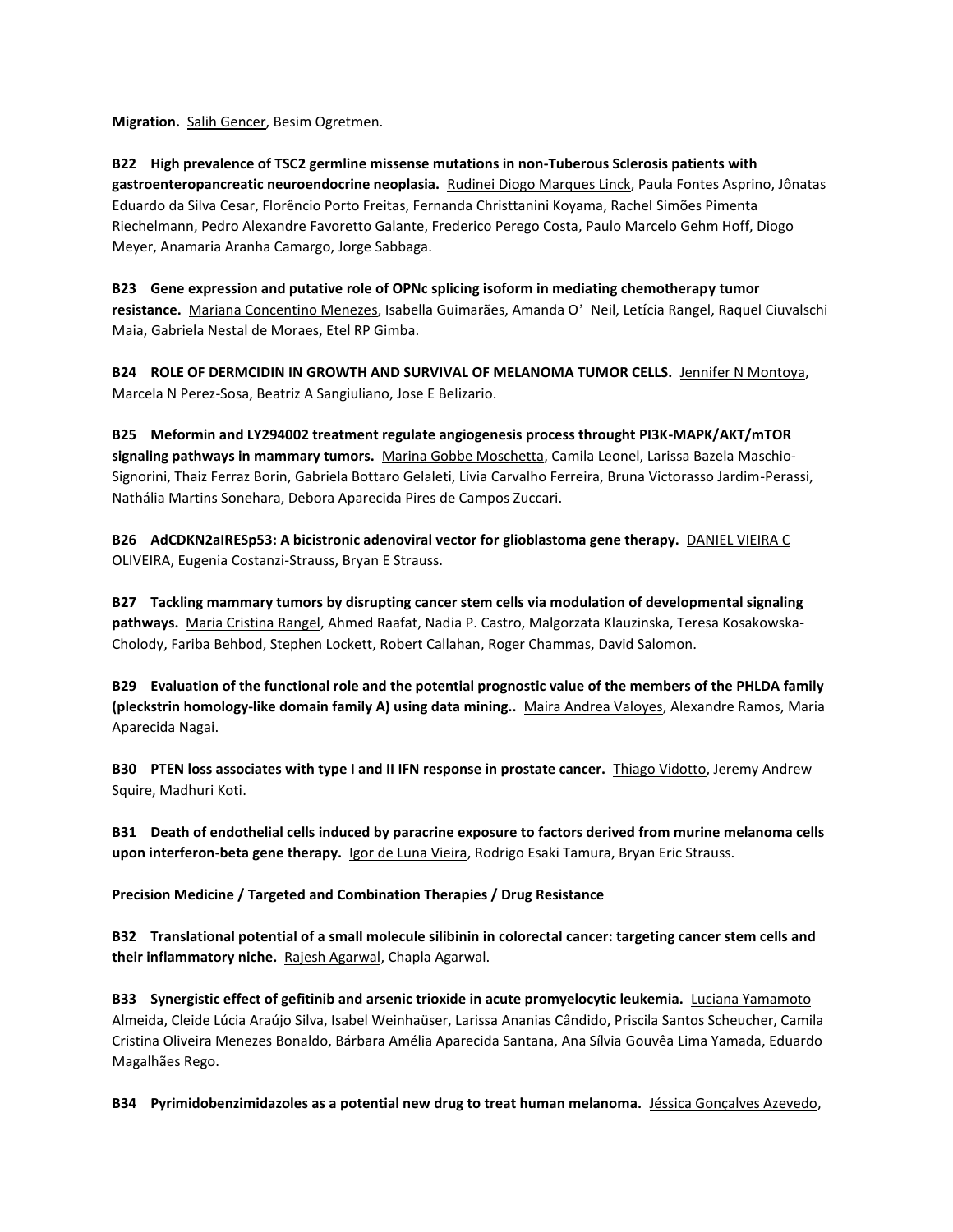**Migration.** Salih Gencer, Besim Ogretmen.

**B22 High prevalence of TSC2 germline missense mutations in non-Tuberous Sclerosis patients with gastroenteropancreatic neuroendocrine neoplasia.** Rudinei Diogo Marques Linck, Paula Fontes Asprino, Jônatas Eduardo da Silva Cesar, Florêncio Porto Freitas, Fernanda Christtanini Koyama, Rachel Simões Pimenta Riechelmann, Pedro Alexandre Favoretto Galante, Frederico Perego Costa, Paulo Marcelo Gehm Hoff, Diogo Meyer, Anamaria Aranha Camargo, Jorge Sabbaga.

**B23 Gene expression and putative role of OPNc splicing isoform in mediating chemotherapy tumor resistance.** Mariana Concentino Menezes, Isabella Guimarães, Amanda O' Neil, Letícia Rangel, Raquel Ciuvalschi Maia, Gabriela Nestal de Moraes, Etel RP Gimba.

**B24 ROLE OF DERMCIDIN IN GROWTH AND SURVIVAL OF MELANOMA TUMOR CELLS.** Jennifer N Montoya, Marcela N Perez-Sosa, Beatriz A Sangiuliano, Jose E Belizario.

**B25 Meformin and LY294002 treatment regulate angiogenesis process throught PI3K-MAPK/AKT/mTOR signaling pathways in mammary tumors.** Marina Gobbe Moschetta, Camila Leonel, Larissa Bazela Maschio-Signorini, Thaiz Ferraz Borin, Gabriela Bottaro Gelaleti, Lívia Carvalho Ferreira, Bruna Victorasso Jardim-Perassi, Nathália Martins Sonehara, Debora Aparecida Pires de Campos Zuccari.

**B26** AdCDKN2aIRESp53: A bicistronic adenoviral vector for glioblastoma gene therapy. **DANIEL VIEIRA C** OLIVEIRA, Eugenia Costanzi-Strauss, Bryan E Strauss.

**B27 Tackling mammary tumors by disrupting cancer stem cells via modulation of developmental signaling pathways.** Maria Cristina Rangel, Ahmed Raafat, Nadia P. Castro, Malgorzata Klauzinska, Teresa Kosakowska-Cholody, Fariba Behbod, Stephen Lockett, Robert Callahan, Roger Chammas, David Salomon.

**B29 Evaluation of the functional role and the potential prognostic value of the members of the PHLDA family (pleckstrin homology-like domain family A) using data mining..** Maira Andrea Valoyes, Alexandre Ramos, Maria Aparecida Nagai.

**B30 PTEN loss associates with type I and II IFN response in prostate cancer.** Thiago Vidotto, Jeremy Andrew Squire, Madhuri Koti.

**B31 Death of endothelial cells induced by paracrine exposure to factors derived from murine melanoma cells upon interferon-beta gene therapy.** Igor de Luna Vieira, Rodrigo Esaki Tamura, Bryan Eric Strauss.

**Precision Medicine / Targeted and Combination Therapies / Drug Resistance**

**B32 Translational potential of a small molecule silibinin in colorectal cancer: targeting cancer stem cells and their inflammatory niche.** Rajesh Agarwal, Chapla Agarwal.

**B33 Synergistic effect of gefitinib and arsenic trioxide in acute promyelocytic leukemia.** Luciana Yamamoto Almeida, Cleide Lúcia Araújo Silva, Isabel Weinhaüser, Larissa Ananias Cândido, Priscila Santos Scheucher, Camila Cristina Oliveira Menezes Bonaldo, Bárbara Amélia Aparecida Santana, Ana Sílvia Gouvêa Lima Yamada, Eduardo Magalhães Rego.

**B34 Pyrimidobenzimidazoles as a potential new drug to treat human melanoma.** Jéssica Gonçalves Azevedo,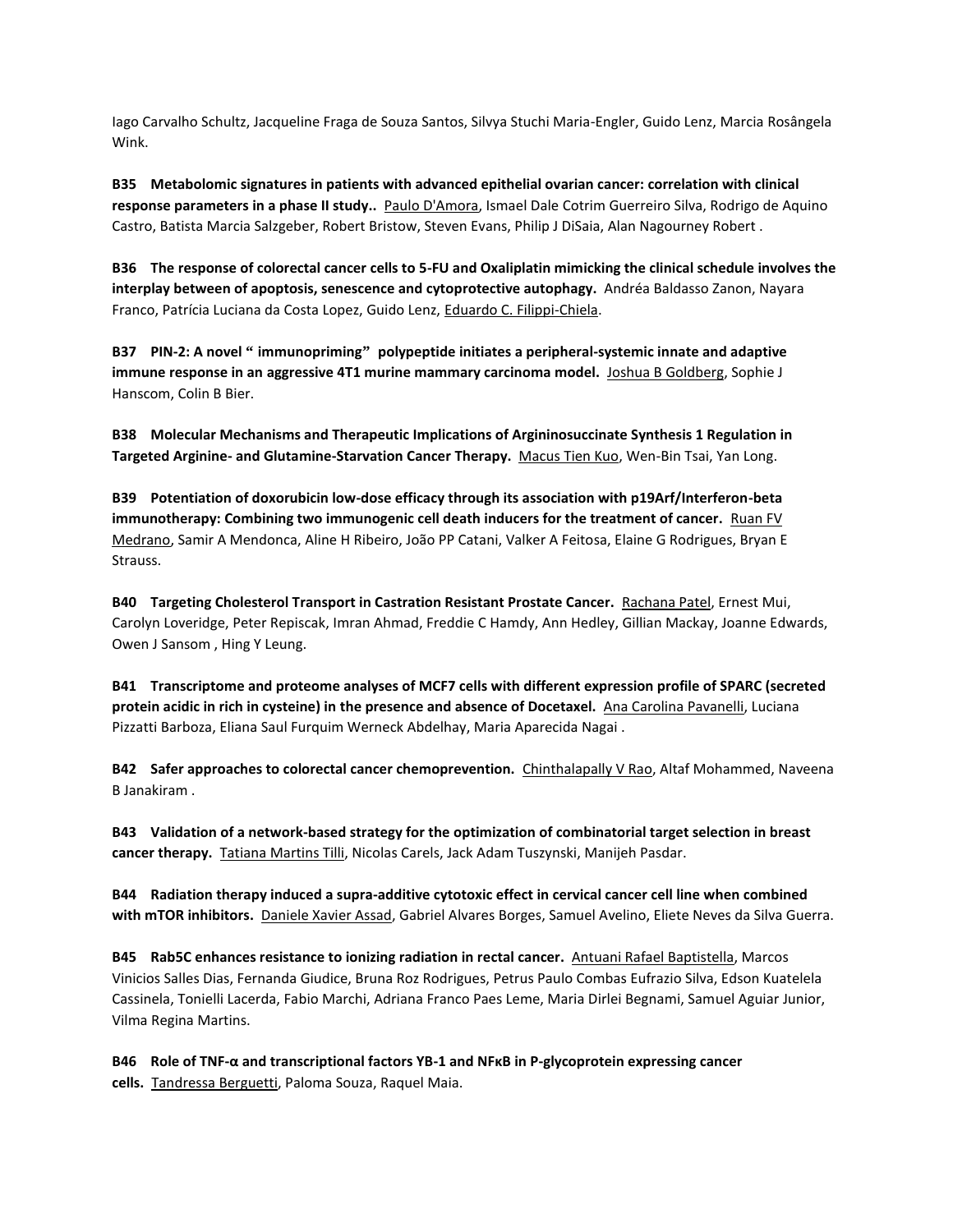Iago Carvalho Schultz, Jacqueline Fraga de Souza Santos, Silvya Stuchi Maria-Engler, Guido Lenz, Marcia Rosângela Wink.

**B35 Metabolomic signatures in patients with advanced epithelial ovarian cancer: correlation with clinical response parameters in a phase II study..** Paulo D'Amora, Ismael Dale Cotrim Guerreiro Silva, Rodrigo de Aquino Castro, Batista Marcia Salzgeber, Robert Bristow, Steven Evans, Philip J DiSaia, Alan Nagourney Robert .

**B36 The response of colorectal cancer cells to 5-FU and Oxaliplatin mimicking the clinical schedule involves the interplay between of apoptosis, senescence and cytoprotective autophagy.** Andréa Baldasso Zanon, Nayara Franco, Patrícia Luciana da Costa Lopez, Guido Lenz, Eduardo C. Filippi-Chiela.

**B37 PIN-2: A novel " immunopriming" polypeptide initiates a peripheral-systemic innate and adaptive immune response in an aggressive 4T1 murine mammary carcinoma model.** Joshua B Goldberg, Sophie J Hanscom, Colin B Bier.

**B38 Molecular Mechanisms and Therapeutic Implications of Argininosuccinate Synthesis 1 Regulation in Targeted Arginine- and Glutamine-Starvation Cancer Therapy.** Macus Tien Kuo, Wen-Bin Tsai, Yan Long.

**B39 Potentiation of doxorubicin low-dose efficacy through its association with p19Arf/Interferon-beta immunotherapy: Combining two immunogenic cell death inducers for the treatment of cancer.** Ruan FV Medrano, Samir A Mendonca, Aline H Ribeiro, João PP Catani, Valker A Feitosa, Elaine G Rodrigues, Bryan E Strauss.

**B40 Targeting Cholesterol Transport in Castration Resistant Prostate Cancer.** Rachana Patel, Ernest Mui, Carolyn Loveridge, Peter Repiscak, Imran Ahmad, Freddie C Hamdy, Ann Hedley, Gillian Mackay, Joanne Edwards, Owen J Sansom , Hing Y Leung.

**B41 Transcriptome and proteome analyses of MCF7 cells with different expression profile of SPARC (secreted protein acidic in rich in cysteine) in the presence and absence of Docetaxel.** Ana Carolina Pavanelli, Luciana Pizzatti Barboza, Eliana Saul Furquim Werneck Abdelhay, Maria Aparecida Nagai .

**B42 Safer approaches to colorectal cancer chemoprevention.** Chinthalapally V Rao, Altaf Mohammed, Naveena B Janakiram .

**B43 Validation of a network-based strategy for the optimization of combinatorial target selection in breast cancer therapy.** Tatiana Martins Tilli, Nicolas Carels, Jack Adam Tuszynski, Manijeh Pasdar.

**B44 Radiation therapy induced a supra-additive cytotoxic effect in cervical cancer cell line when combined with mTOR inhibitors.** Daniele Xavier Assad, Gabriel Alvares Borges, Samuel Avelino, Eliete Neves da Silva Guerra.

**B45 Rab5C enhances resistance to ionizing radiation in rectal cancer.** Antuani Rafael Baptistella, Marcos Vinicios Salles Dias, Fernanda Giudice, Bruna Roz Rodrigues, Petrus Paulo Combas Eufrazio Silva, Edson Kuatelela Cassinela, Tonielli Lacerda, Fabio Marchi, Adriana Franco Paes Leme, Maria Dirlei Begnami, Samuel Aguiar Junior, Vilma Regina Martins.

**B46 Role of TNF-α and transcriptional factors YB-1 and NFκB in P-glycoprotein expressing cancer cells.** Tandressa Berguetti, Paloma Souza, Raquel Maia.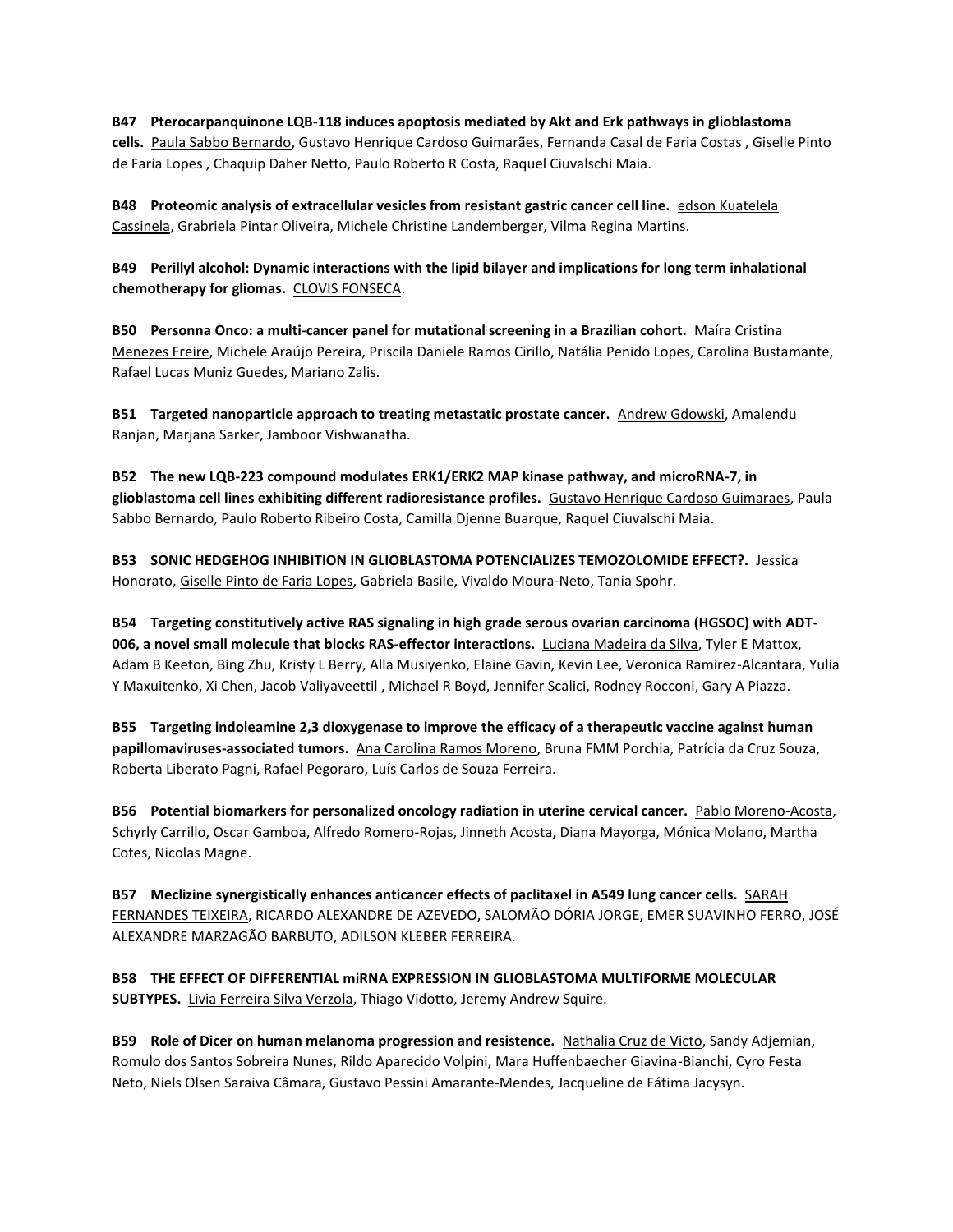**B47 Pterocarpanquinone LQB-118 induces apoptosis mediated by Akt and Erk pathways in glioblastoma cells.** Paula Sabbo Bernardo, Gustavo Henrique Cardoso Guimarães, Fernanda Casal de Faria Costas , Giselle Pinto de Faria Lopes , Chaquip Daher Netto, Paulo Roberto R Costa, Raquel Ciuvalschi Maia.

**B48 Proteomic analysis of extracellular vesicles from resistant gastric cancer cell line.** edson Kuatelela Cassinela, Grabriela Pintar Oliveira, Michele Christine Landemberger, Vilma Regina Martins.

**B49 Perillyl alcohol: Dynamic interactions with the lipid bilayer and implications for long term inhalational chemotherapy for gliomas.** CLOVIS FONSECA.

**B50 Personna Onco: a multi-cancer panel for mutational screening in a Brazilian cohort.** Maíra Cristina Menezes Freire, Michele Araújo Pereira, Priscila Daniele Ramos Cirillo, Natália Penido Lopes, Carolina Bustamante, Rafael Lucas Muniz Guedes, Mariano Zalis.

**B51 Targeted nanoparticle approach to treating metastatic prostate cancer.** Andrew Gdowski, Amalendu Ranjan, Marjana Sarker, Jamboor Vishwanatha.

**B52 The new LQB-223 compound modulates ERK1/ERK2 MAP kinase pathway, and microRNA-7, in glioblastoma cell lines exhibiting different radioresistance profiles.** Gustavo Henrique Cardoso Guimaraes, Paula Sabbo Bernardo, Paulo Roberto Ribeiro Costa, Camilla Djenne Buarque, Raquel Ciuvalschi Maia.

**B53 SONIC HEDGEHOG INHIBITION IN GLIOBLASTOMA POTENCIALIZES TEMOZOLOMIDE EFFECT?.** Jessica Honorato, Giselle Pinto de Faria Lopes, Gabriela Basile, Vivaldo Moura-Neto, Tania Spohr.

**B54 Targeting constitutively active RAS signaling in high grade serous ovarian carcinoma (HGSOC) with ADT-006, a novel small molecule that blocks RAS-effector interactions.** Luciana Madeira da Silva, Tyler E Mattox, Adam B Keeton, Bing Zhu, Kristy L Berry, Alla Musiyenko, Elaine Gavin, Kevin Lee, Veronica Ramirez-Alcantara, Yulia Y Maxuitenko, Xi Chen, Jacob Valiyaveettil , Michael R Boyd, Jennifer Scalici, Rodney Rocconi, Gary A Piazza.

**B55 Targeting indoleamine 2,3 dioxygenase to improve the efficacy of a therapeutic vaccine against human papillomaviruses-associated tumors.** Ana Carolina Ramos Moreno, Bruna FMM Porchia, Patrícia da Cruz Souza, Roberta Liberato Pagni, Rafael Pegoraro, Luís Carlos de Souza Ferreira.

**B56 Potential biomarkers for personalized oncology radiation in uterine cervical cancer.** Pablo Moreno-Acosta, Schyrly Carrillo, Oscar Gamboa, Alfredo Romero-Rojas, Jinneth Acosta, Diana Mayorga, Mónica Molano, Martha Cotes, Nicolas Magne.

**B57 Meclizine synergistically enhances anticancer effects of paclitaxel in A549 lung cancer cells.** SARAH FERNANDES TEIXEIRA, RICARDO ALEXANDRE DE AZEVEDO, SALOMÃO DÓRIA JORGE, EMER SUAVINHO FERRO, JOSÉ ALEXANDRE MARZAGÃO BARBUTO, ADILSON KLEBER FERREIRA.

**B58 THE EFFECT OF DIFFERENTIAL miRNA EXPRESSION IN GLIOBLASTOMA MULTIFORME MOLECULAR SUBTYPES.** Livia Ferreira Silva Verzola, Thiago Vidotto, Jeremy Andrew Squire.

**B59 Role of Dicer on human melanoma progression and resistence.** Nathalia Cruz de Victo, Sandy Adjemian, Romulo dos Santos Sobreira Nunes, Rildo Aparecido Volpini, Mara Huffenbaecher Giavina-Bianchi, Cyro Festa Neto, Niels Olsen Saraiva Câmara, Gustavo Pessini Amarante-Mendes, Jacqueline de Fátima Jacysyn.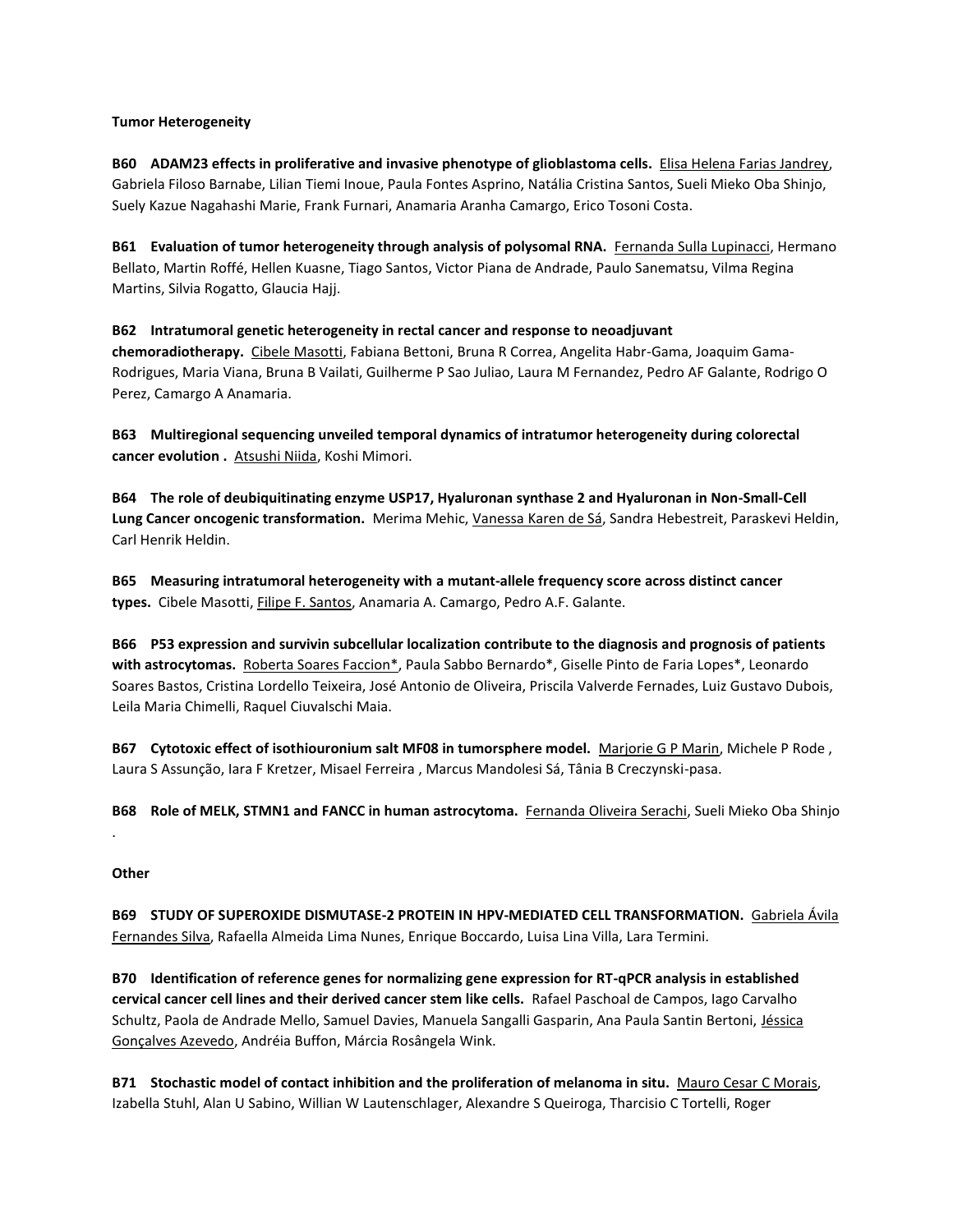## **Tumor Heterogeneity**

**B60 ADAM23 effects in proliferative and invasive phenotype of glioblastoma cells.** Elisa Helena Farias Jandrey, Gabriela Filoso Barnabe, Lilian Tiemi Inoue, Paula Fontes Asprino, Natália Cristina Santos, Sueli Mieko Oba Shinjo, Suely Kazue Nagahashi Marie, Frank Furnari, Anamaria Aranha Camargo, Erico Tosoni Costa.

**B61 Evaluation of tumor heterogeneity through analysis of polysomal RNA.** Fernanda Sulla Lupinacci, Hermano Bellato, Martin Roffé, Hellen Kuasne, Tiago Santos, Victor Piana de Andrade, Paulo Sanematsu, Vilma Regina Martins, Silvia Rogatto, Glaucia Hajj.

**B62 Intratumoral genetic heterogeneity in rectal cancer and response to neoadjuvant chemoradiotherapy.** Cibele Masotti, Fabiana Bettoni, Bruna R Correa, Angelita Habr-Gama, Joaquim Gama-Rodrigues, Maria Viana, Bruna B Vailati, Guilherme P Sao Juliao, Laura M Fernandez, Pedro AF Galante, Rodrigo O Perez, Camargo A Anamaria.

**B63 Multiregional sequencing unveiled temporal dynamics of intratumor heterogeneity during colorectal cancer evolution .** Atsushi Niida, Koshi Mimori.

**B64 The role of deubiquitinating enzyme USP17, Hyaluronan synthase 2 and Hyaluronan in Non-Small-Cell Lung Cancer oncogenic transformation.** Merima Mehic, Vanessa Karen de Sá, Sandra Hebestreit, Paraskevi Heldin, Carl Henrik Heldin.

**B65 Measuring intratumoral heterogeneity with a mutant-allele frequency score across distinct cancer types.** Cibele Masotti, Filipe F. Santos, Anamaria A. Camargo, Pedro A.F. Galante.

**B66 P53 expression and survivin subcellular localization contribute to the diagnosis and prognosis of patients with astrocytomas.** Roberta Soares Faccion\*, Paula Sabbo Bernardo\*, Giselle Pinto de Faria Lopes\*, Leonardo Soares Bastos, Cristina Lordello Teixeira, José Antonio de Oliveira, Priscila Valverde Fernades, Luiz Gustavo Dubois, Leila Maria Chimelli, Raquel Ciuvalschi Maia.

**B67 Cytotoxic effect of isothiouronium salt MF08 in tumorsphere model.** Marjorie G P Marin, Michele P Rode , Laura S Assunção, Iara F Kretzer, Misael Ferreira , Marcus Mandolesi Sá, Tânia B Creczynski-pasa.

**B68 Role of MELK, STMN1 and FANCC in human astrocytoma.** Fernanda Oliveira Serachi, Sueli Mieko Oba Shinjo

# **Other**

.

**B69 STUDY OF SUPEROXIDE DISMUTASE-2 PROTEIN IN HPV-MEDIATED CELL TRANSFORMATION.** Gabriela Ávila Fernandes Silva, Rafaella Almeida Lima Nunes, Enrique Boccardo, Luisa Lina Villa, Lara Termini.

**B70 Identification of reference genes for normalizing gene expression for RT-qPCR analysis in established cervical cancer cell lines and their derived cancer stem like cells.** Rafael Paschoal de Campos, Iago Carvalho Schultz, Paola de Andrade Mello, Samuel Davies, Manuela Sangalli Gasparin, Ana Paula Santin Bertoni, Jéssica Gonçalves Azevedo, Andréia Buffon, Márcia Rosângela Wink.

**B71 Stochastic model of contact inhibition and the proliferation of melanoma in situ.** Mauro Cesar C Morais, Izabella Stuhl, Alan U Sabino, Willian W Lautenschlager, Alexandre S Queiroga, Tharcisio C Tortelli, Roger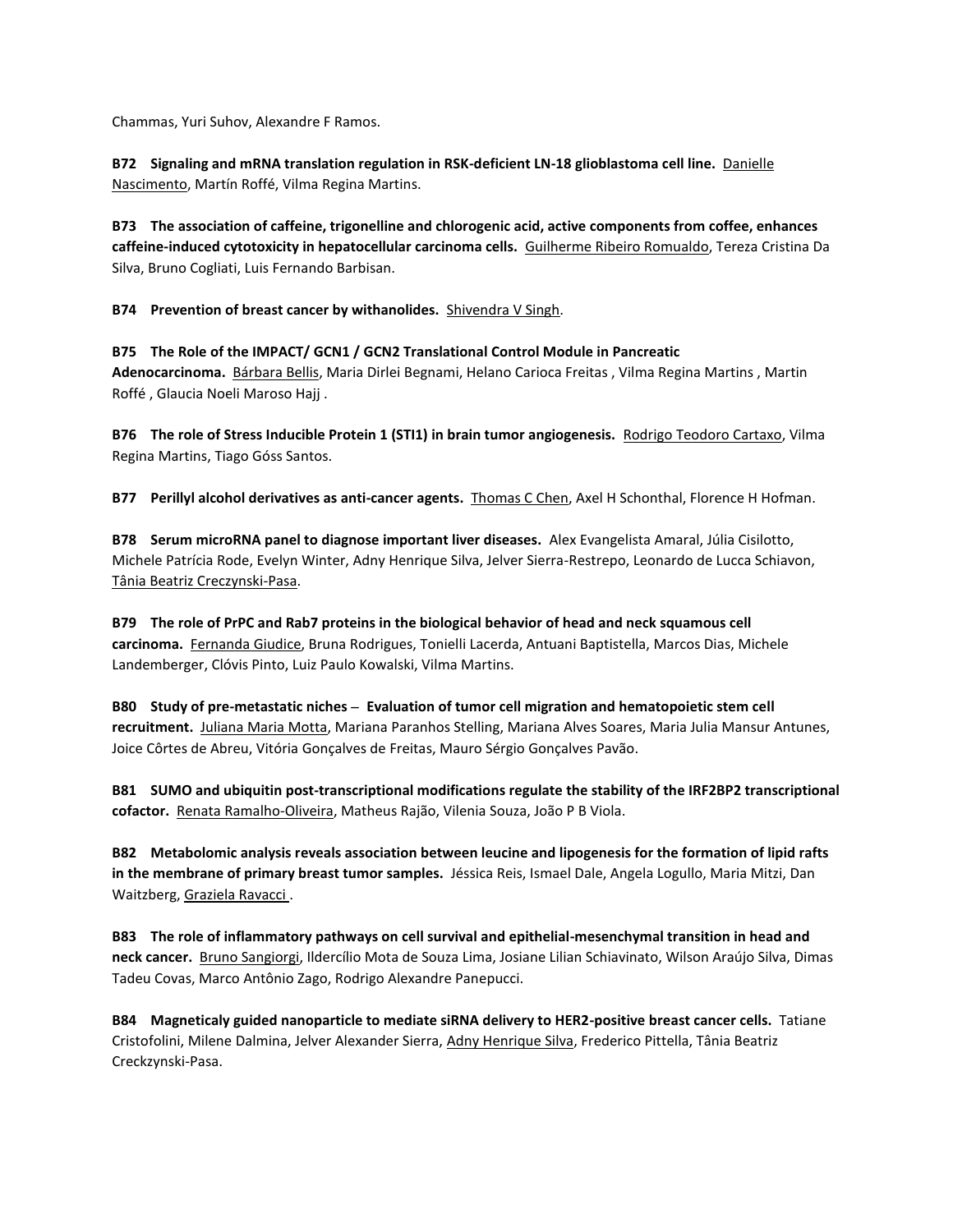Chammas, Yuri Suhov, Alexandre F Ramos.

**B72 Signaling and mRNA translation regulation in RSK-deficient LN-18 glioblastoma cell line.** Danielle Nascimento, Martín Roffé, Vilma Regina Martins.

**B73 The association of caffeine, trigonelline and chlorogenic acid, active components from coffee, enhances caffeine-induced cytotoxicity in hepatocellular carcinoma cells.** Guilherme Ribeiro Romualdo, Tereza Cristina Da Silva, Bruno Cogliati, Luis Fernando Barbisan.

**B74 Prevention of breast cancer by withanolides.** Shivendra V Singh.

**B75 The Role of the IMPACT/ GCN1 / GCN2 Translational Control Module in Pancreatic Adenocarcinoma.** Bárbara Bellis, Maria Dirlei Begnami, Helano Carioca Freitas , Vilma Regina Martins , Martin Roffé , Glaucia Noeli Maroso Hajj .

**B76 The role of Stress Inducible Protein 1 (STI1) in brain tumor angiogenesis.** Rodrigo Teodoro Cartaxo, Vilma Regina Martins, Tiago Góss Santos.

**B77 Perillyl alcohol derivatives as anti-cancer agents.** Thomas C Chen, Axel H Schonthal, Florence H Hofman.

**B78 Serum microRNA panel to diagnose important liver diseases.** Alex Evangelista Amaral, Júlia Cisilotto, Michele Patrícia Rode, Evelyn Winter, Adny Henrique Silva, Jelver Sierra-Restrepo, Leonardo de Lucca Schiavon, Tânia Beatriz Creczynski-Pasa.

**B79 The role of PrPC and Rab7 proteins in the biological behavior of head and neck squamous cell carcinoma.** Fernanda Giudice, Bruna Rodrigues, Tonielli Lacerda, Antuani Baptistella, Marcos Dias, Michele Landemberger, Clóvis Pinto, Luiz Paulo Kowalski, Vilma Martins.

**B80 Study of pre-metastatic niches – Evaluation of tumor cell migration and hematopoietic stem cell recruitment.** Juliana Maria Motta, Mariana Paranhos Stelling, Mariana Alves Soares, Maria Julia Mansur Antunes, Joice Côrtes de Abreu, Vitória Gonçalves de Freitas, Mauro Sérgio Gonçalves Pavão.

**B81 SUMO and ubiquitin post-transcriptional modifications regulate the stability of the IRF2BP2 transcriptional cofactor.** Renata Ramalho-Oliveira, Matheus Rajão, Vilenia Souza, João P B Viola.

**B82 Metabolomic analysis reveals association between leucine and lipogenesis for the formation of lipid rafts in the membrane of primary breast tumor samples.** Jéssica Reis, Ismael Dale, Angela Logullo, Maria Mitzi, Dan Waitzberg, Graziela Ravacci .

**B83 The role of inflammatory pathways on cell survival and epithelial-mesenchymal transition in head and neck cancer.** Bruno Sangiorgi, Ildercílio Mota de Souza Lima, Josiane Lilian Schiavinato, Wilson Araújo Silva, Dimas Tadeu Covas, Marco Antônio Zago, Rodrigo Alexandre Panepucci.

**B84 Magneticaly guided nanoparticle to mediate siRNA delivery to HER2-positive breast cancer cells.** Tatiane Cristofolini, Milene Dalmina, Jelver Alexander Sierra, Adny Henrique Silva, Frederico Pittella, Tânia Beatriz Creckzynski-Pasa.